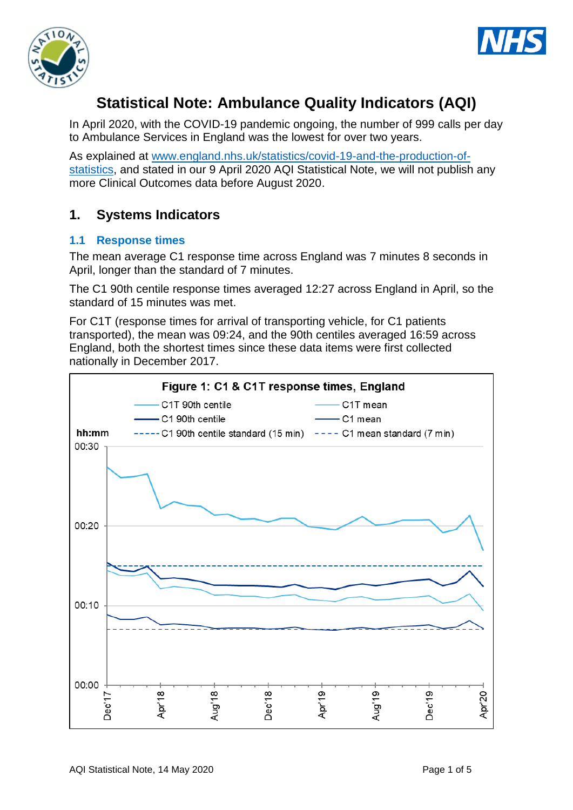



# **Statistical Note: Ambulance Quality Indicators (AQI)**

In April 2020, with the COVID-19 pandemic ongoing, the number of 999 calls per day to Ambulance Services in England was the lowest for over two years.

As explained at [www.england.nhs.uk/statistics/covid-19-and-the-production-of](https://www.england.nhs.uk/statistics/covid-19-and-the-production-of-statistics)[statistics,](https://www.england.nhs.uk/statistics/covid-19-and-the-production-of-statistics) and stated in our 9 April 2020 AQI Statistical Note, we will not publish any more Clinical Outcomes data before August 2020.

## **1. Systems Indicators**

## **1.1 Response times**

The mean average C1 response time across England was 7 minutes 8 seconds in April, longer than the standard of 7 minutes.

The C1 90th centile response times averaged 12:27 across England in April, so the standard of 15 minutes was met.

For C1T (response times for arrival of transporting vehicle, for C1 patients transported), the mean was 09:24, and the 90th centiles averaged 16:59 across England, both the shortest times since these data items were first collected nationally in December 2017.

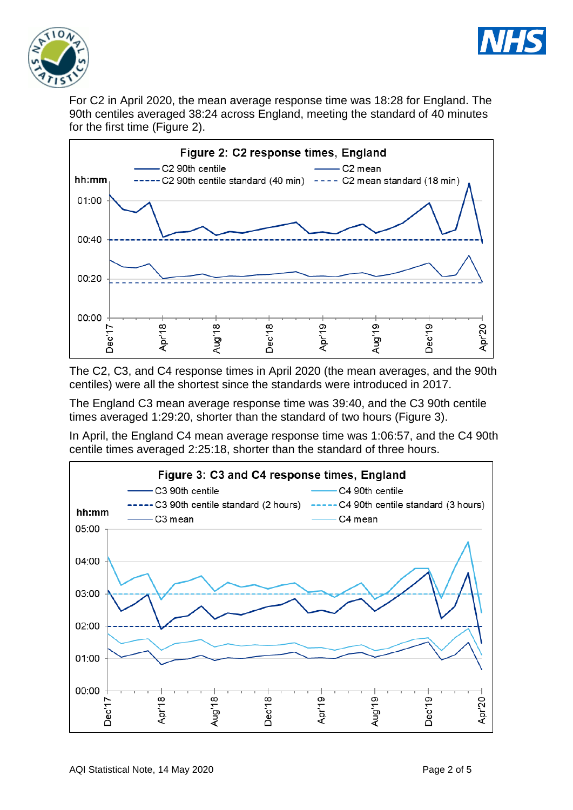



For C2 in April 2020, the mean average response time was 18:28 for England. The 90th centiles averaged 38:24 across England, meeting the standard of 40 minutes for the first time (Figure 2).



The C2, C3, and C4 response times in April 2020 (the mean averages, and the 90th centiles) were all the shortest since the standards were introduced in 2017.

The England C3 mean average response time was 39:40, and the C3 90th centile times averaged 1:29:20, shorter than the standard of two hours (Figure 3).

In April, the England C4 mean average response time was 1:06:57, and the C4 90th centile times averaged 2:25:18, shorter than the standard of three hours.

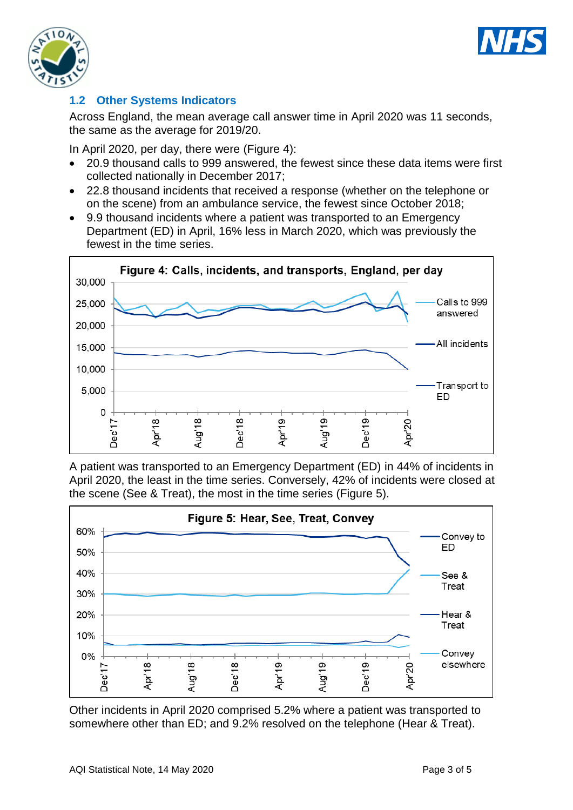



## **1.2 Other Systems Indicators**

Across England, the mean average call answer time in April 2020 was 11 seconds, the same as the average for 2019/20.

In April 2020, per day, there were (Figure 4):

- 20.9 thousand calls to 999 answered, the fewest since these data items were first collected nationally in December 2017;
- 22.8 thousand incidents that received a response (whether on the telephone or on the scene) from an ambulance service, the fewest since October 2018;
- 9.9 thousand incidents where a patient was transported to an Emergency Department (ED) in April, 16% less in March 2020, which was previously the fewest in the time series.



A patient was transported to an Emergency Department (ED) in 44% of incidents in April 2020, the least in the time series. Conversely, 42% of incidents were closed at the scene (See & Treat), the most in the time series (Figure 5).



Other incidents in April 2020 comprised 5.2% where a patient was transported to somewhere other than ED; and 9.2% resolved on the telephone (Hear & Treat).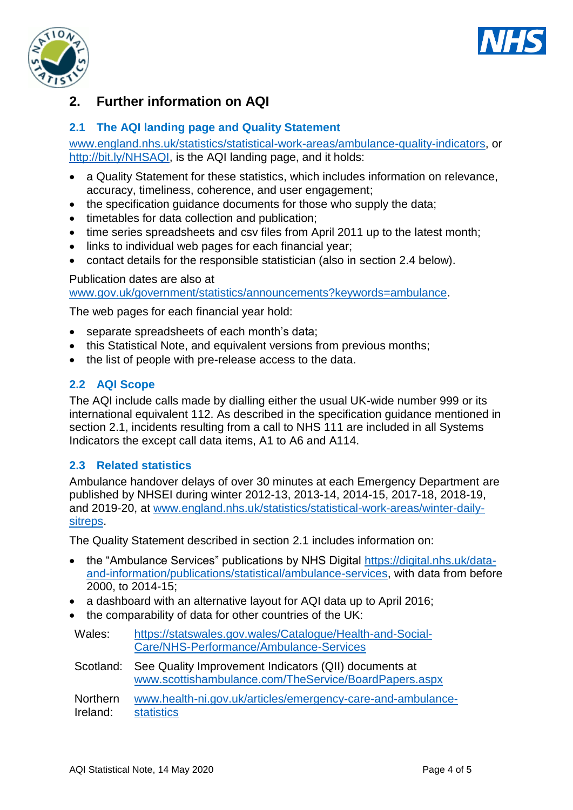



## **2. Further information on AQI**

## **2.1 The AQI landing page and Quality Statement**

[www.england.nhs.uk/statistics/statistical-work-areas/ambulance-quality-indicators,](http://www.england.nhs.uk/statistics/statistical-work-areas/ambulance-quality-indicators) or [http://bit.ly/NHSAQI,](http://bit.ly/NHSAQI) is the AQI landing page, and it holds:

- a Quality Statement for these statistics, which includes information on relevance, accuracy, timeliness, coherence, and user engagement;
- the specification guidance documents for those who supply the data;
- timetables for data collection and publication;
- time series spreadsheets and csv files from April 2011 up to the latest month;
- links to individual web pages for each financial year;
- contact details for the responsible statistician (also in section 2.4 below).

#### Publication dates are also at

[www.gov.uk/government/statistics/announcements?keywords=ambulance.](http://www.gov.uk/government/statistics/announcements?keywords=ambulance)

The web pages for each financial year hold:

- separate spreadsheets of each month's data;
- this Statistical Note, and equivalent versions from previous months;
- the list of people with pre-release access to the data.

#### **2.2 AQI Scope**

The AQI include calls made by dialling either the usual UK-wide number 999 or its international equivalent 112. As described in the specification guidance mentioned in section 2.1, incidents resulting from a call to NHS 111 are included in all Systems Indicators the except call data items, A1 to A6 and A114.

#### **2.3 Related statistics**

Ambulance handover delays of over 30 minutes at each Emergency Department are published by NHSEI during winter 2012-13, 2013-14, 2014-15, 2017-18, 2018-19, and 2019-20, at [www.england.nhs.uk/statistics/statistical-work-areas/winter-daily](http://www.england.nhs.uk/statistics/statistical-work-areas/winter-daily-sitreps)[sitreps.](http://www.england.nhs.uk/statistics/statistical-work-areas/winter-daily-sitreps)

The Quality Statement described in section 2.1 includes information on:

- the "Ambulance Services" publications by NHS Digital [https://digital.nhs.uk/data](https://digital.nhs.uk/data-and-information/publications/statistical/ambulance-services)[and-information/publications/statistical/ambulance-services,](https://digital.nhs.uk/data-and-information/publications/statistical/ambulance-services) with data from before 2000, to 2014-15;
- a dashboard with an alternative layout for AQI data up to April 2016;
- the comparability of data for other countries of the UK:

| Wales: | https://statswales.gov.wales/Catalogue/Health-and-Social- |
|--------|-----------------------------------------------------------|
|        | Care/NHS-Performance/Ambulance-Services                   |

Scotland: See Quality Improvement Indicators (QII) documents at [www.scottishambulance.com/TheService/BoardPapers.aspx](http://www.scottishambulance.com/TheService/BoardPapers.aspx)

Northern Ireland: [www.health-ni.gov.uk/articles/emergency-care-and-ambulance](http://www.health-ni.gov.uk/articles/emergency-care-and-ambulance-statistics)[statistics](http://www.health-ni.gov.uk/articles/emergency-care-and-ambulance-statistics)